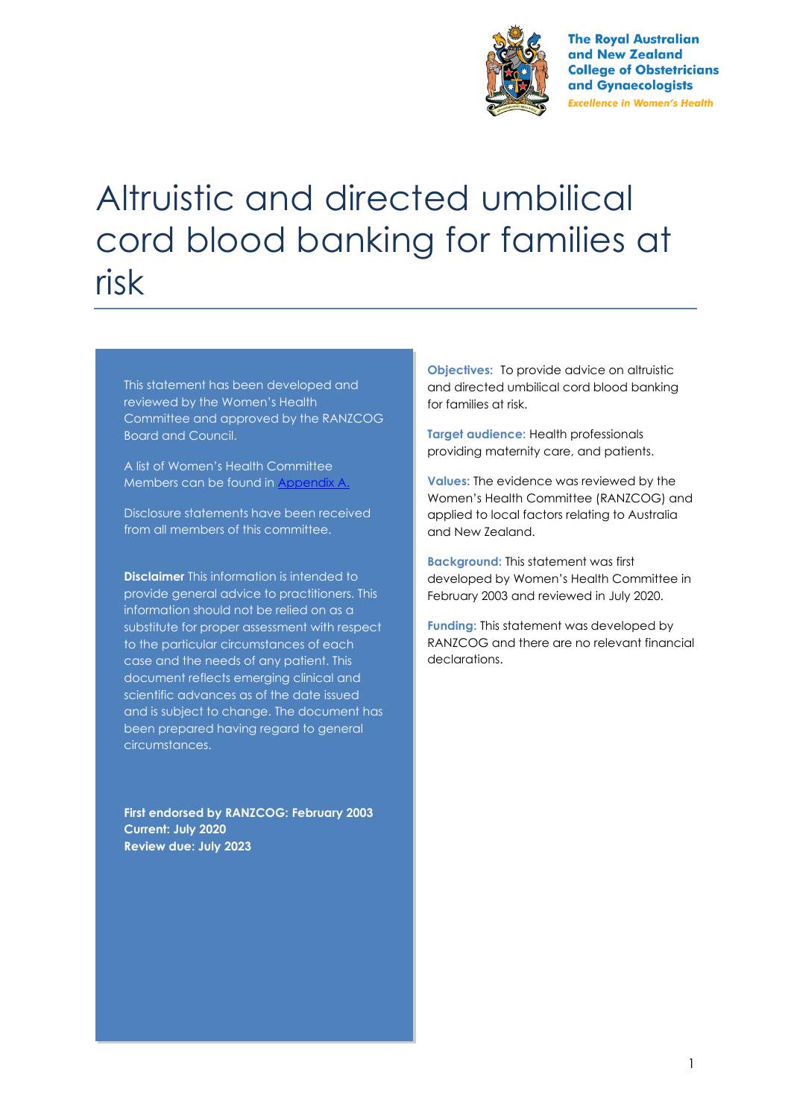

**The Royal Australian** and New Zealand **College of Obstetricians** and Gynaecologists **Excellence in Women's Health** 

# Altruistic and directed umbilical cord blood banking for families at risk

This statement has been developed and reviewed by the Women's Health Committee and approved by the RANZCOG Board and Council.

A list of Women's Health Committee Members can be found in Appendix A.

Disclosure statements have been received from all members of this committee.

**Disclaimer** This information is intended to provide general advice to practitioners. This information should not be relied on as a substitute for proper assessment with respect to the particular circumstances of each case and the needs of any patient. This document reflects emerging clinical and scientific advances as of the date issued and is subject to change. The document has been prepared having regard to general circumstances.

**First endorsed by RANZCOG: February 2003 Current: July 2020 Review due: July 2023**

**Objectives:** To provide advice on altruistic and directed umbilical cord blood banking for families at risk.

**Target audience:** Health professionals providing maternity care, and patients.

**Values:** The evidence was reviewed by the Women's Health Committee (RANZCOG) and applied to local factors relating to Australia and New Zealand.

**Background:** This statement was first developed by Women's Health Committee in February 2003 and reviewed in July 2020.

**Funding:** This statement was developed by RANZCOG and there are no relevant financial declarations.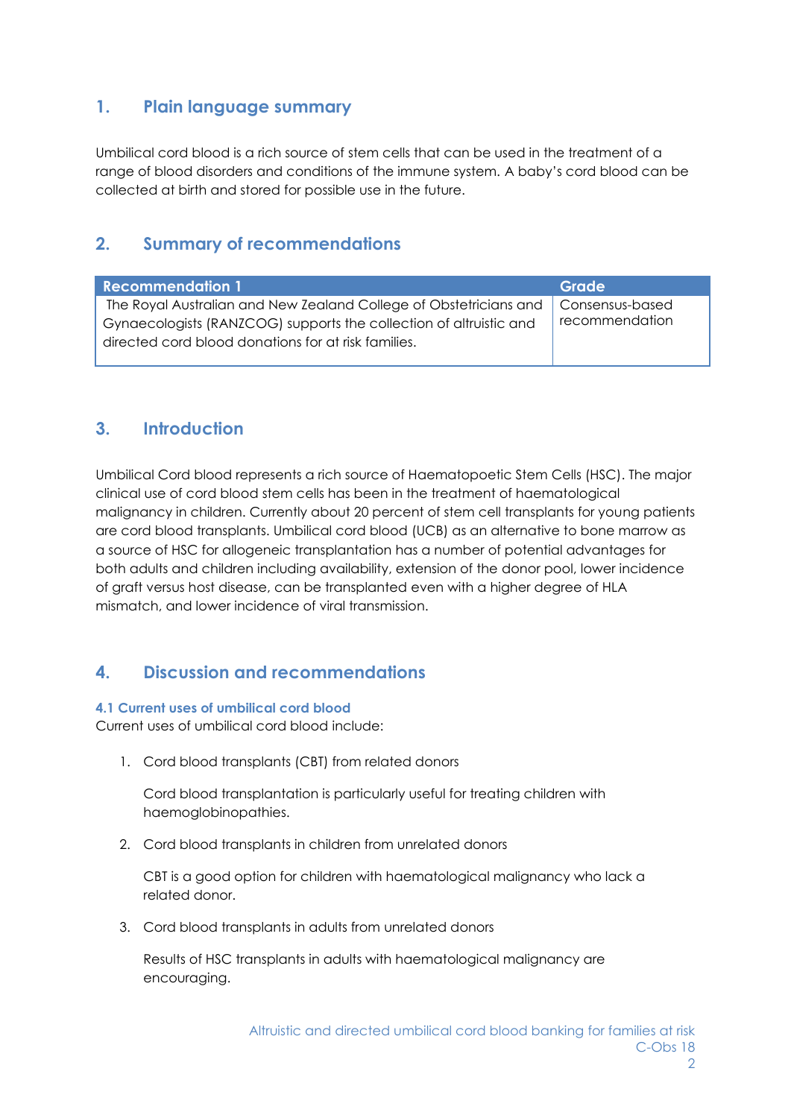## **1. Plain language summary**

Umbilical cord blood is a rich source of stem cells that can be used in the treatment of a range of blood disorders and conditions of the immune system. A baby's cord blood can be collected at birth and stored for possible use in the future.

## **2. Summary of recommendations**

| <b>Recommendation 1</b>                                            | Grade           |
|--------------------------------------------------------------------|-----------------|
| The Royal Australian and New Zealand College of Obstetricians and  | Consensus-based |
| Gynaecologists (RANZCOG) supports the collection of altruistic and | recommendation  |
| directed cord blood donations for at risk families.                |                 |
|                                                                    |                 |

## **3. Introduction**

Umbilical Cord blood represents a rich source of Haematopoetic Stem Cells (HSC). The major clinical use of cord blood stem cells has been in the treatment of haematological malignancy in children. Currently about 20 percent of stem cell transplants for young patients are cord blood transplants. Umbilical cord blood (UCB) as an alternative to bone marrow as a source of HSC for allogeneic transplantation has a number of potential advantages for both adults and children including availability, extension of the donor pool, lower incidence of graft versus host disease, can be transplanted even with a higher degree of HLA mismatch, and lower incidence of viral transmission.

## **4. Discussion and recommendations**

#### **4.1 Current uses of umbilical cord blood**

Current uses of umbilical cord blood include:

1. Cord blood transplants (CBT) from related donors

Cord blood transplantation is particularly useful for treating children with haemoglobinopathies.

2. Cord blood transplants in children from unrelated donors

CBT is a good option for children with haematological malignancy who lack a related donor.

3. Cord blood transplants in adults from unrelated donors

Results of HSC transplants in adults with haematological malignancy are encouraging.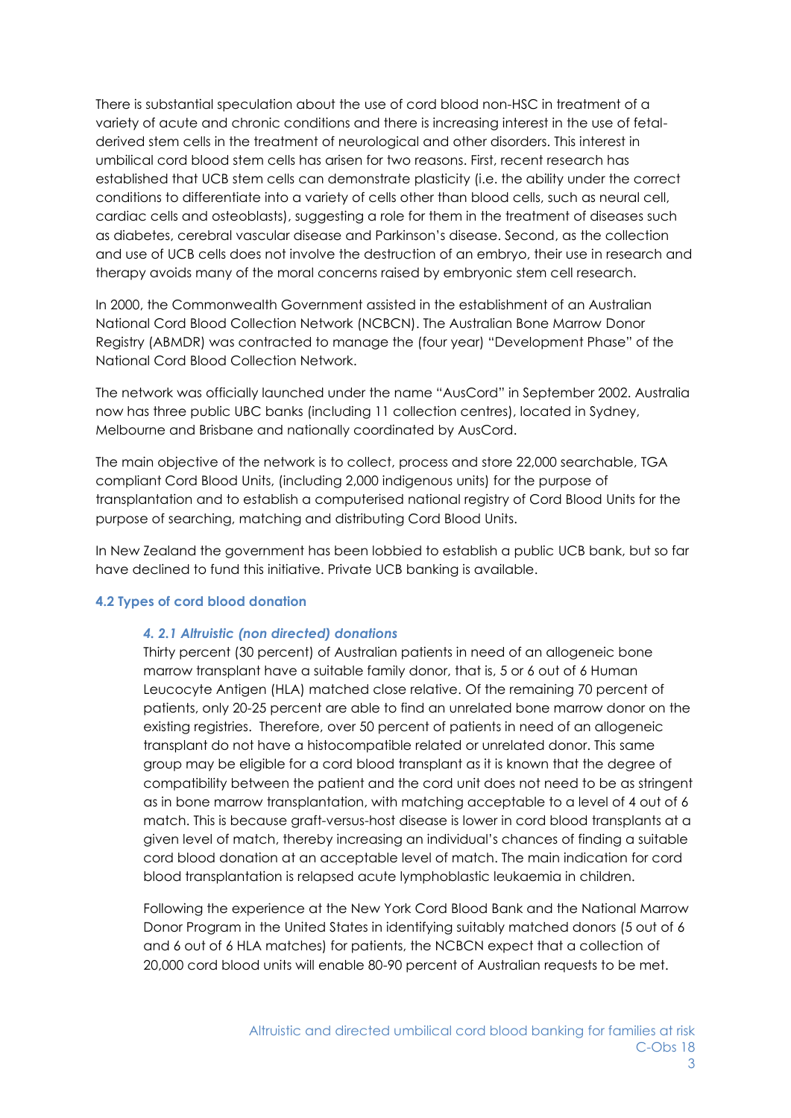There is substantial speculation about the use of cord blood non-HSC in treatment of a variety of acute and chronic conditions and there is increasing interest in the use of fetalderived stem cells in the treatment of neurological and other disorders. This interest in umbilical cord blood stem cells has arisen for two reasons. First, recent research has established that UCB stem cells can demonstrate plasticity (i.e. the ability under the correct conditions to differentiate into a variety of cells other than blood cells, such as neural cell, cardiac cells and osteoblasts), suggesting a role for them in the treatment of diseases such as diabetes, cerebral vascular disease and Parkinson's disease. Second, as the collection and use of UCB cells does not involve the destruction of an embryo, their use in research and therapy avoids many of the moral concerns raised by embryonic stem cell research.

In 2000, the Commonwealth Government assisted in the establishment of an Australian National Cord Blood Collection Network (NCBCN). The Australian Bone Marrow Donor Registry (ABMDR) was contracted to manage the (four year) "Development Phase" of the National Cord Blood Collection Network.

The network was officially launched under the name "AusCord" in September 2002. Australia now has three public UBC banks (including 11 collection centres), located in Sydney, Melbourne and Brisbane and nationally coordinated by AusCord.

The main objective of the network is to collect, process and store 22,000 searchable, TGA compliant Cord Blood Units, (including 2,000 indigenous units) for the purpose of transplantation and to establish a computerised national registry of Cord Blood Units for the purpose of searching, matching and distributing Cord Blood Units.

In New Zealand the government has been lobbied to establish a public UCB bank, but so far have declined to fund this initiative. Private UCB banking is available.

#### **4.2 Types of cord blood donation**

#### *4. 2.1 Altruistic (non directed) donations*

Thirty percent (30 percent) of Australian patients in need of an allogeneic bone marrow transplant have a suitable family donor, that is, 5 or 6 out of 6 Human Leucocyte Antigen (HLA) matched close relative. Of the remaining 70 percent of patients, only 20-25 percent are able to find an unrelated bone marrow donor on the existing registries. Therefore, over 50 percent of patients in need of an allogeneic transplant do not have a histocompatible related or unrelated donor. This same group may be eligible for a cord blood transplant as it is known that the degree of compatibility between the patient and the cord unit does not need to be as stringent as in bone marrow transplantation, with matching acceptable to a level of 4 out of 6 match. This is because graft-versus-host disease is lower in cord blood transplants at a given level of match, thereby increasing an individual's chances of finding a suitable cord blood donation at an acceptable level of match. The main indication for cord blood transplantation is relapsed acute lymphoblastic leukaemia in children.

Following the experience at the New York Cord Blood Bank and the National Marrow Donor Program in the United States in identifying suitably matched donors (5 out of 6 and 6 out of 6 HLA matches) for patients, the NCBCN expect that a collection of 20,000 cord blood units will enable 80-90 percent of Australian requests to be met.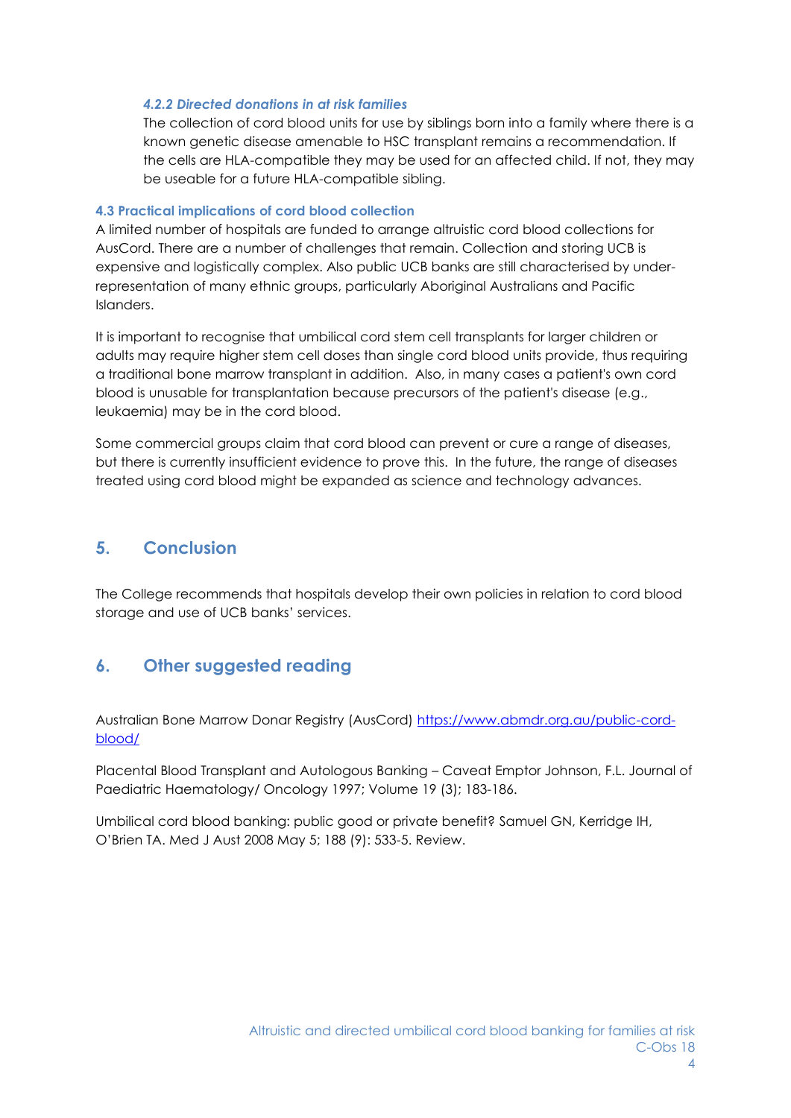#### *4.2.2 Directed donations in at risk families*

The collection of cord blood units for use by siblings born into a family where there is a known genetic disease amenable to HSC transplant remains a recommendation. If the cells are HLA-compatible they may be used for an affected child. If not, they may be useable for a future HLA-compatible sibling.

#### **4.3 Practical implications of cord blood collection**

A limited number of hospitals are funded to arrange altruistic cord blood collections for AusCord. There are a number of challenges that remain. Collection and storing UCB is expensive and logistically complex. Also public UCB banks are still characterised by underrepresentation of many ethnic groups, particularly Aboriginal Australians and Pacific Islanders.

It is important to recognise that umbilical cord stem cell transplants for larger children or adults may require higher stem cell doses than single cord blood units provide, thus requiring a traditional bone marrow transplant in addition. Also, in many cases a patient's own cord blood is unusable for transplantation because precursors of the patient's disease (e.g., leukaemia) may be in the cord blood.

Some commercial groups claim that cord blood can prevent or cure a range of diseases, but there is currently insufficient evidence to prove this. In the future, the range of diseases treated using cord blood might be expanded as science and technology advances.

## **5. Conclusion**

The College recommends that hospitals develop their own policies in relation to cord blood storage and use of UCB banks' services.

## **6. Other suggested reading**

Australian Bone Marrow Donar Registry (AusCord) [https://www.abmdr.org.au/public-cord](https://www.abmdr.org.au/public-cord-blood/)[blood/](https://www.abmdr.org.au/public-cord-blood/)

Placental Blood Transplant and Autologous Banking – Caveat Emptor Johnson, F.L. Journal of Paediatric Haematology/ Oncology 1997; Volume 19 (3); 183-186.

Umbilical cord blood banking: public good or private benefit? Samuel GN, Kerridge IH, O'Brien TA. Med J Aust 2008 May 5; 188 (9): 533-5. Review.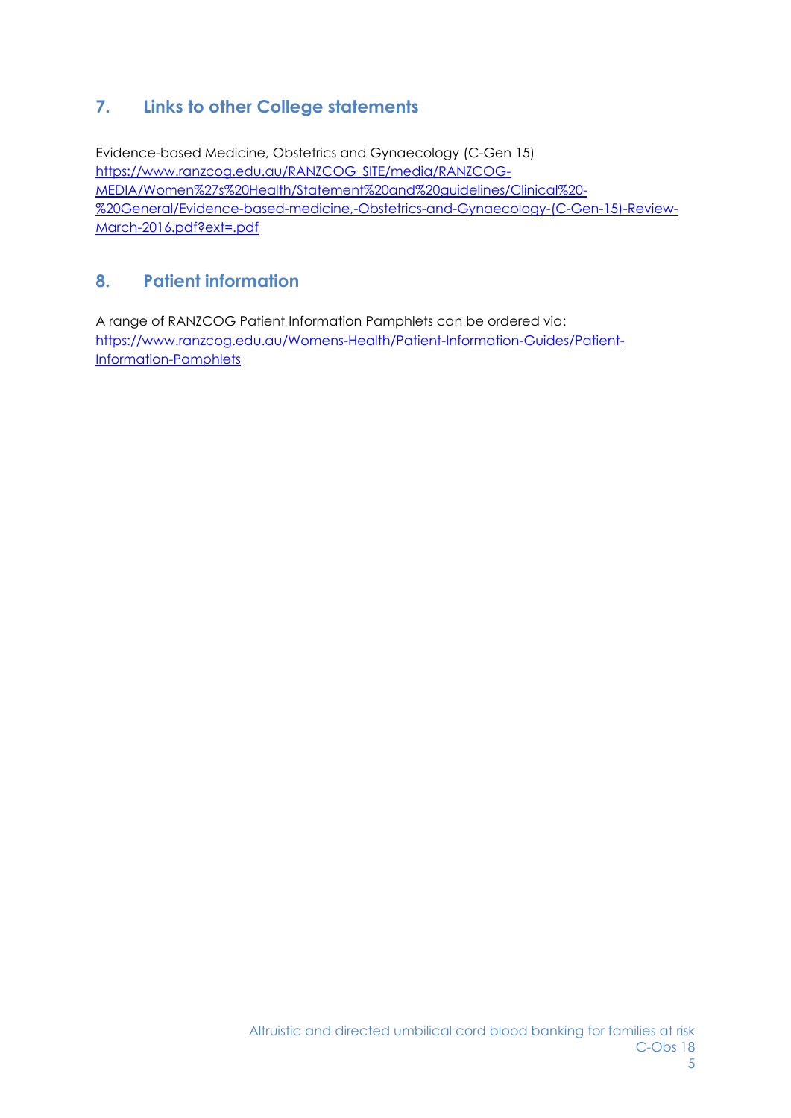# **7. Links to other College statements**

Evidence-based Medicine, Obstetrics and Gynaecology (C-Gen 15) [https://www.ranzcog.edu.au/RANZCOG\\_SITE/media/RANZCOG-](https://www.ranzcog.edu.au/RANZCOG_SITE/media/RANZCOG-MEDIA/Women%27s%20Health/Statement%20and%20guidelines/Clinical%20-%20General/Evidence-based-medicine,-Obstetrics-and-Gynaecology-(C-Gen-15)-Review-March-2016.pdf?ext=.pdf)[MEDIA/Women%27s%20Health/Statement%20and%20guidelines/Clinical%20-](https://www.ranzcog.edu.au/RANZCOG_SITE/media/RANZCOG-MEDIA/Women%27s%20Health/Statement%20and%20guidelines/Clinical%20-%20General/Evidence-based-medicine,-Obstetrics-and-Gynaecology-(C-Gen-15)-Review-March-2016.pdf?ext=.pdf) [%20General/Evidence-based-medicine,-Obstetrics-and-Gynaecology-\(C-Gen-15\)-Review-](https://www.ranzcog.edu.au/RANZCOG_SITE/media/RANZCOG-MEDIA/Women%27s%20Health/Statement%20and%20guidelines/Clinical%20-%20General/Evidence-based-medicine,-Obstetrics-and-Gynaecology-(C-Gen-15)-Review-March-2016.pdf?ext=.pdf)[March-2016.pdf?ext=.pdf](https://www.ranzcog.edu.au/RANZCOG_SITE/media/RANZCOG-MEDIA/Women%27s%20Health/Statement%20and%20guidelines/Clinical%20-%20General/Evidence-based-medicine,-Obstetrics-and-Gynaecology-(C-Gen-15)-Review-March-2016.pdf?ext=.pdf)

# **8. Patient information**

A range of RANZCOG Patient Information Pamphlets can be ordered via: [https://www.ranzcog.edu.au/Womens-Health/Patient-Information-Guides/Patient-](https://www.ranzcog.edu.au/Womens-Health/Patient-Information-Guides/Patient-Information-Pamphlets)[Information-Pamphlets](https://www.ranzcog.edu.au/Womens-Health/Patient-Information-Guides/Patient-Information-Pamphlets)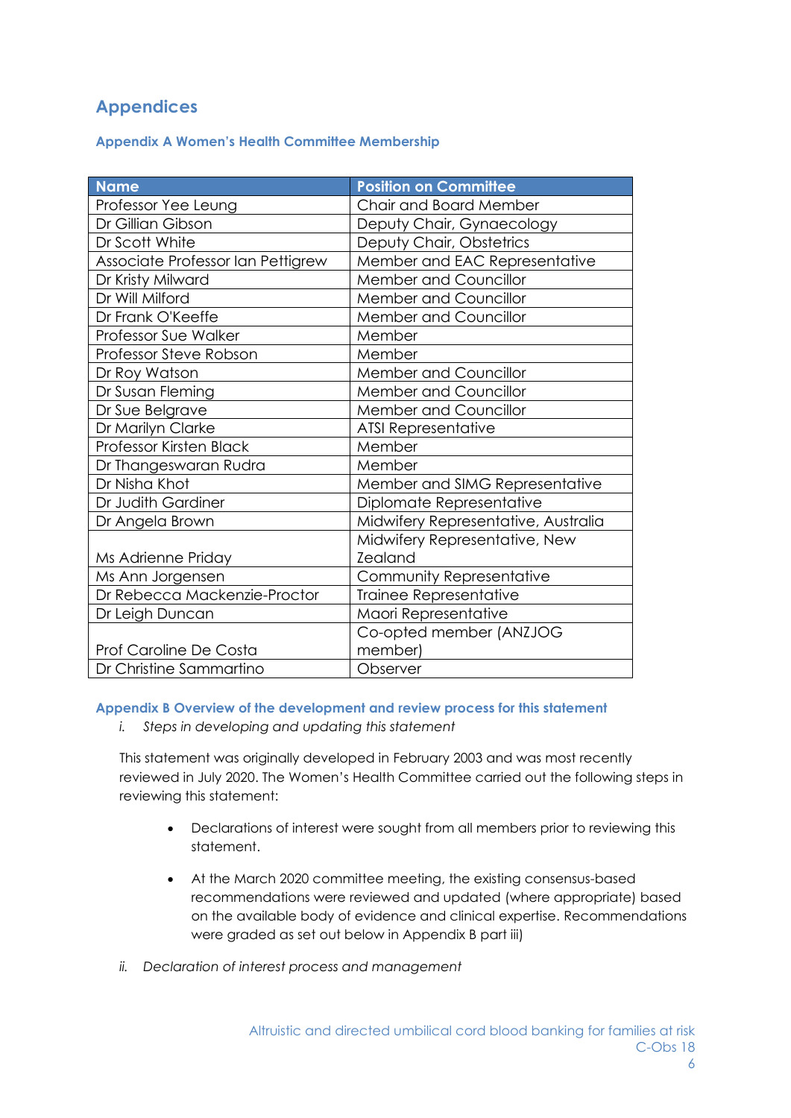# **Appendices**

**Appendix A Women's Health Committee Membership**

| <b>Name</b>                       | <b>Position on Committee</b>        |
|-----------------------------------|-------------------------------------|
| Professor Yee Leung               | Chair and Board Member              |
| Dr Gillian Gibson                 | Deputy Chair, Gynaecology           |
| Dr Scott White                    | Deputy Chair, Obstetrics            |
| Associate Professor Ian Pettigrew | Member and EAC Representative       |
| Dr Kristy Milward                 | Member and Councillor               |
| Dr Will Milford                   | Member and Councillor               |
| Dr Frank O'Keeffe                 | <b>Member and Councillor</b>        |
| Professor Sue Walker              | Member                              |
| Professor Steve Robson            | Member                              |
| Dr Roy Watson                     | Member and Councillor               |
| Dr Susan Fleming                  | Member and Councillor               |
| Dr Sue Belgrave                   | <b>Member and Councillor</b>        |
| Dr Marilyn Clarke                 | <b>ATSI Representative</b>          |
| Professor Kirsten Black           | Member                              |
| Dr Thangeswaran Rudra             | Member                              |
| Dr Nisha Khot                     | Member and SIMG Representative      |
| Dr Judith Gardiner                | Diplomate Representative            |
| Dr Angela Brown                   | Midwifery Representative, Australia |
|                                   | Midwifery Representative, New       |
| Ms Adrienne Priday                | <b>Zealand</b>                      |
| Ms Ann Jorgensen                  | Community Representative            |
| Dr Rebecca Mackenzie-Proctor      | Trainee Representative              |
| Dr Leigh Duncan                   | Maori Representative                |
|                                   | Co-opted member (ANZJOG             |
| Prof Caroline De Costa            | member)                             |
| Dr Christine Sammartino           | Observer                            |

**Appendix B Overview of the development and review process for this statement** 

*i. Steps in developing and updating this statement*

This statement was originally developed in February 2003 and was most recently reviewed in July 2020. The Women's Health Committee carried out the following steps in reviewing this statement:

- Declarations of interest were sought from all members prior to reviewing this statement.
- At the March 2020 committee meeting, the existing consensus-based recommendations were reviewed and updated (where appropriate) based on the available body of evidence and clinical expertise. Recommendations were graded as set out below in Appendix B part iii)
- *ii. Declaration of interest process and management*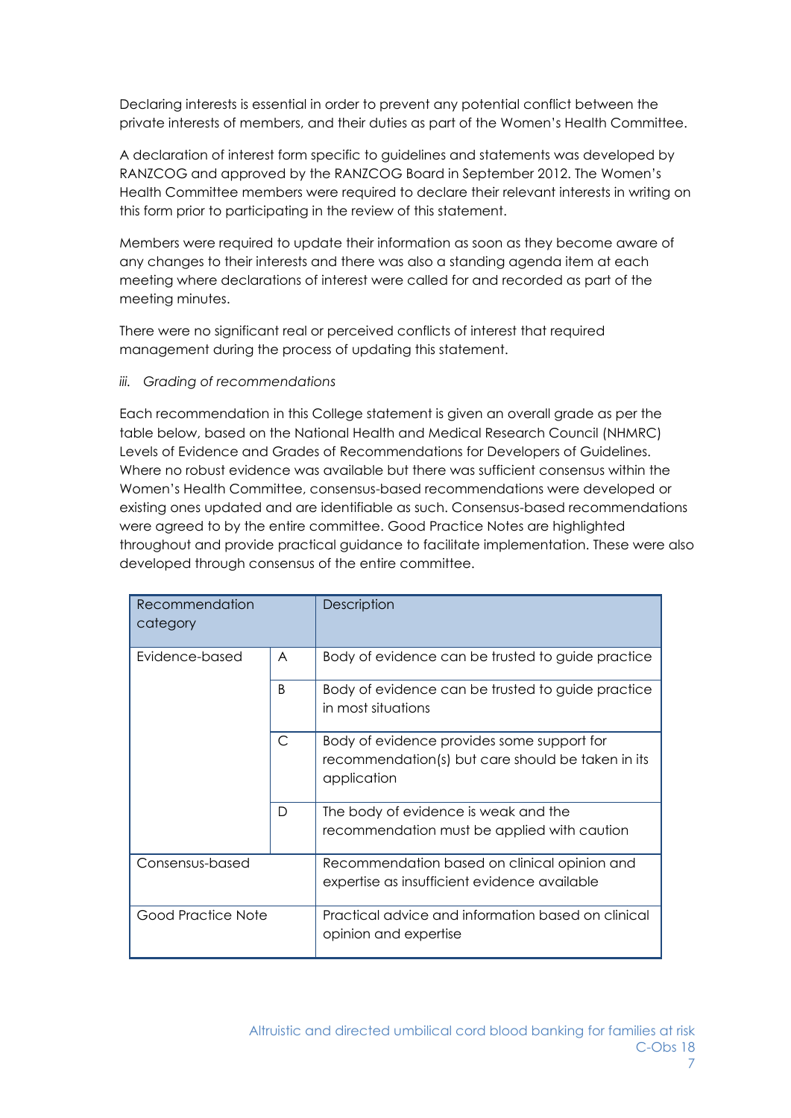Declaring interests is essential in order to prevent any potential conflict between the private interests of members, and their duties as part of the Women's Health Committee.

A declaration of interest form specific to guidelines and statements was developed by RANZCOG and approved by the RANZCOG Board in September 2012. The Women's Health Committee members were required to declare their relevant interests in writing on this form prior to participating in the review of this statement.

Members were required to update their information as soon as they become aware of any changes to their interests and there was also a standing agenda item at each meeting where declarations of interest were called for and recorded as part of the meeting minutes.

There were no significant real or perceived conflicts of interest that required management during the process of updating this statement.

*iii. Grading of recommendations*

Each recommendation in this College statement is given an overall grade as per the table below, based on the National Health and Medical Research Council (NHMRC) Levels of Evidence and Grades of Recommendations for Developers of Guidelines. Where no robust evidence was available but there was sufficient consensus within the Women's Health Committee, consensus-based recommendations were developed or existing ones updated and are identifiable as such. Consensus-based recommendations were agreed to by the entire committee. Good Practice Notes are highlighted throughout and provide practical guidance to facilitate implementation. These were also developed through consensus of the entire committee.

| Recommendation<br>category |              | Description                                                                                                    |
|----------------------------|--------------|----------------------------------------------------------------------------------------------------------------|
| Evidence-based             | A            | Body of evidence can be trusted to guide practice                                                              |
|                            | <sub>B</sub> | Body of evidence can be trusted to guide practice<br>in most situations                                        |
|                            | $\mathsf{C}$ | Body of evidence provides some support for<br>recommendation(s) but care should be taken in its<br>application |
|                            | D            | The body of evidence is weak and the<br>recommendation must be applied with caution                            |
| Consensus-based            |              | Recommendation based on clinical opinion and<br>expertise as insufficient evidence available                   |
| Good Practice Note         |              | Practical advice and information based on clinical<br>opinion and expertise                                    |